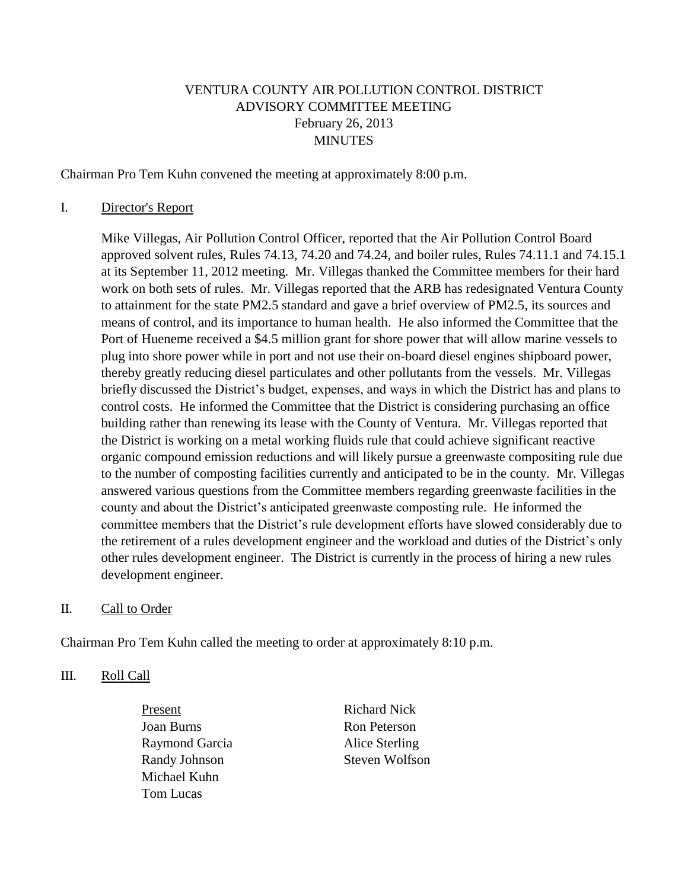# VENTURA COUNTY AIR POLLUTION CONTROL DISTRICT ADVISORY COMMITTEE MEETING February 26, 2013 MINUTES

Chairman Pro Tem Kuhn convened the meeting at approximately 8:00 p.m.

#### I. Director's Report

Mike Villegas, Air Pollution Control Officer, reported that the Air Pollution Control Board approved solvent rules, Rules 74.13, 74.20 and 74.24, and boiler rules, Rules 74.11.1 and 74.15.1 at its September 11, 2012 meeting. Mr. Villegas thanked the Committee members for their hard work on both sets of rules. Mr. Villegas reported that the ARB has redesignated Ventura County to attainment for the state PM2.5 standard and gave a brief overview of PM2.5, its sources and means of control, and its importance to human health. He also informed the Committee that the Port of Hueneme received a \$4.5 million grant for shore power that will allow marine vessels to plug into shore power while in port and not use their on-board diesel engines shipboard power, thereby greatly reducing diesel particulates and other pollutants from the vessels. Mr. Villegas briefly discussed the District's budget, expenses, and ways in which the District has and plans to control costs. He informed the Committee that the District is considering purchasing an office building rather than renewing its lease with the County of Ventura. Mr. Villegas reported that the District is working on a metal working fluids rule that could achieve significant reactive organic compound emission reductions and will likely pursue a greenwaste compositing rule due to the number of composting facilities currently and anticipated to be in the county. Mr. Villegas answered various questions from the Committee members regarding greenwaste facilities in the county and about the District's anticipated greenwaste composting rule. He informed the committee members that the District's rule development efforts have slowed considerably due to the retirement of a rules development engineer and the workload and duties of the District's only other rules development engineer. The District is currently in the process of hiring a new rules development engineer.

### II. Call to Order

Chairman Pro Tem Kuhn called the meeting to order at approximately 8:10 p.m.

## III. Roll Call

Present Richard Nick Joan Burns Ron Peterson Raymond Garcia Alice Sterling Randy Johnson Steven Wolfson Michael Kuhn Tom Lucas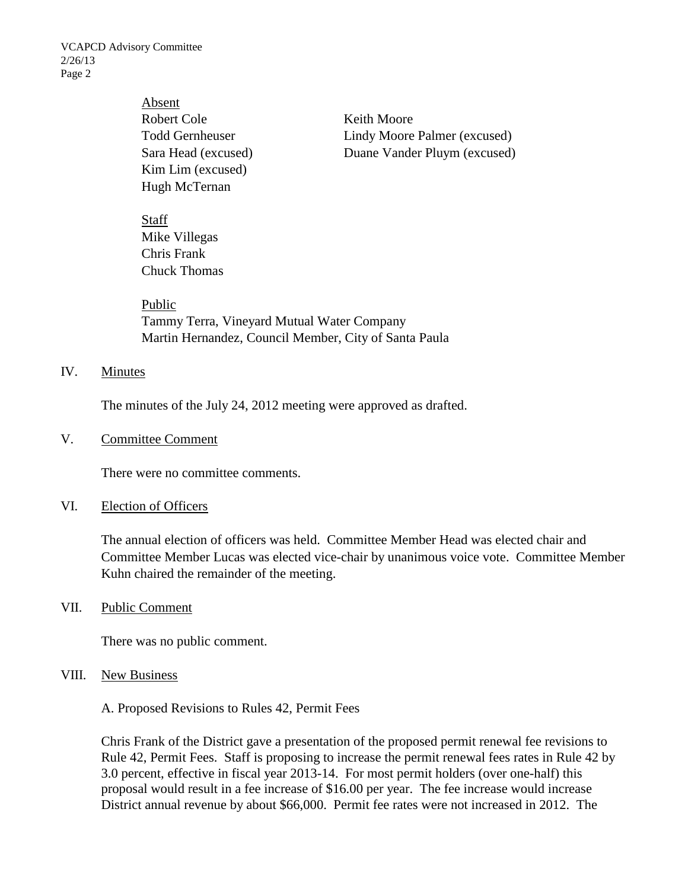VCAPCD Advisory Committee 2/26/13 Page 2

> Absent Robert Cole **Keith Moore** Kim Lim (excused) Hugh McTernan

Todd Gernheuser Lindy Moore Palmer (excused) Sara Head (excused) Duane Vander Pluym (excused)

Staff Mike Villegas Chris Frank Chuck Thomas

Public Tammy Terra, Vineyard Mutual Water Company Martin Hernandez, Council Member, City of Santa Paula

### IV. Minutes

The minutes of the July 24, 2012 meeting were approved as drafted.

V. Committee Comment

There were no committee comments.

#### VI. Election of Officers

The annual election of officers was held. Committee Member Head was elected chair and Committee Member Lucas was elected vice-chair by unanimous voice vote. Committee Member Kuhn chaired the remainder of the meeting.

### VII. Public Comment

There was no public comment.

#### VIII. New Business

A. Proposed Revisions to Rules 42, Permit Fees

Chris Frank of the District gave a presentation of the proposed permit renewal fee revisions to Rule 42, Permit Fees. Staff is proposing to increase the permit renewal fees rates in Rule 42 by 3.0 percent, effective in fiscal year 2013-14. For most permit holders (over one-half) this proposal would result in a fee increase of \$16.00 per year. The fee increase would increase District annual revenue by about \$66,000. Permit fee rates were not increased in 2012. The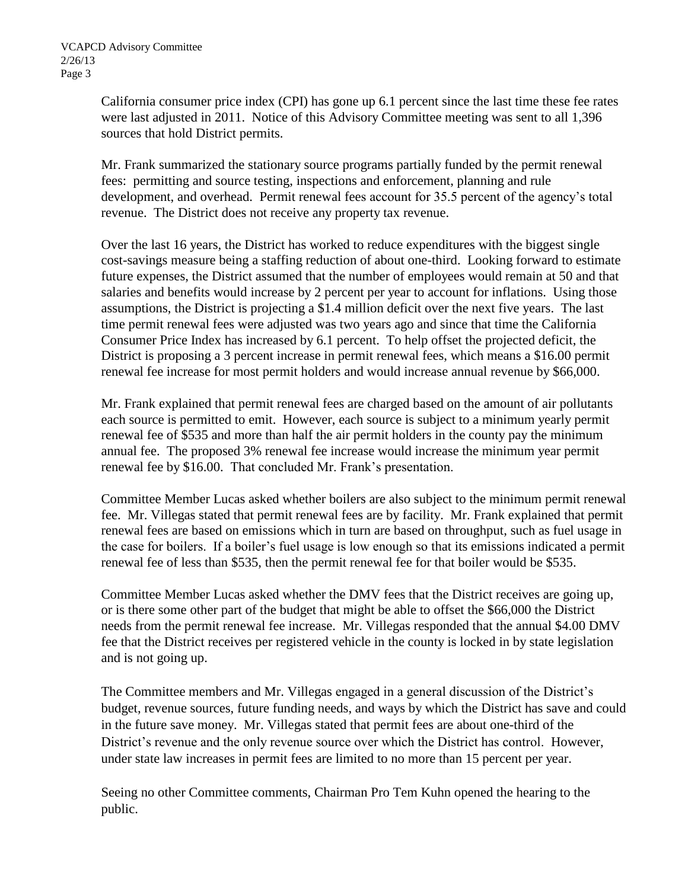California consumer price index (CPI) has gone up 6.1 percent since the last time these fee rates were last adjusted in 2011. Notice of this Advisory Committee meeting was sent to all 1,396 sources that hold District permits.

Mr. Frank summarized the stationary source programs partially funded by the permit renewal fees: permitting and source testing, inspections and enforcement, planning and rule development, and overhead. Permit renewal fees account for 35.5 percent of the agency's total revenue. The District does not receive any property tax revenue.

Over the last 16 years, the District has worked to reduce expenditures with the biggest single cost-savings measure being a staffing reduction of about one-third. Looking forward to estimate future expenses, the District assumed that the number of employees would remain at 50 and that salaries and benefits would increase by 2 percent per year to account for inflations. Using those assumptions, the District is projecting a \$1.4 million deficit over the next five years. The last time permit renewal fees were adjusted was two years ago and since that time the California Consumer Price Index has increased by 6.1 percent. To help offset the projected deficit, the District is proposing a 3 percent increase in permit renewal fees, which means a \$16.00 permit renewal fee increase for most permit holders and would increase annual revenue by \$66,000.

Mr. Frank explained that permit renewal fees are charged based on the amount of air pollutants each source is permitted to emit. However, each source is subject to a minimum yearly permit renewal fee of \$535 and more than half the air permit holders in the county pay the minimum annual fee. The proposed 3% renewal fee increase would increase the minimum year permit renewal fee by \$16.00. That concluded Mr. Frank's presentation.

Committee Member Lucas asked whether boilers are also subject to the minimum permit renewal fee. Mr. Villegas stated that permit renewal fees are by facility. Mr. Frank explained that permit renewal fees are based on emissions which in turn are based on throughput, such as fuel usage in the case for boilers. If a boiler's fuel usage is low enough so that its emissions indicated a permit renewal fee of less than \$535, then the permit renewal fee for that boiler would be \$535.

Committee Member Lucas asked whether the DMV fees that the District receives are going up, or is there some other part of the budget that might be able to offset the \$66,000 the District needs from the permit renewal fee increase. Mr. Villegas responded that the annual \$4.00 DMV fee that the District receives per registered vehicle in the county is locked in by state legislation and is not going up.

The Committee members and Mr. Villegas engaged in a general discussion of the District's budget, revenue sources, future funding needs, and ways by which the District has save and could in the future save money. Mr. Villegas stated that permit fees are about one-third of the District's revenue and the only revenue source over which the District has control. However, under state law increases in permit fees are limited to no more than 15 percent per year.

Seeing no other Committee comments, Chairman Pro Tem Kuhn opened the hearing to the public.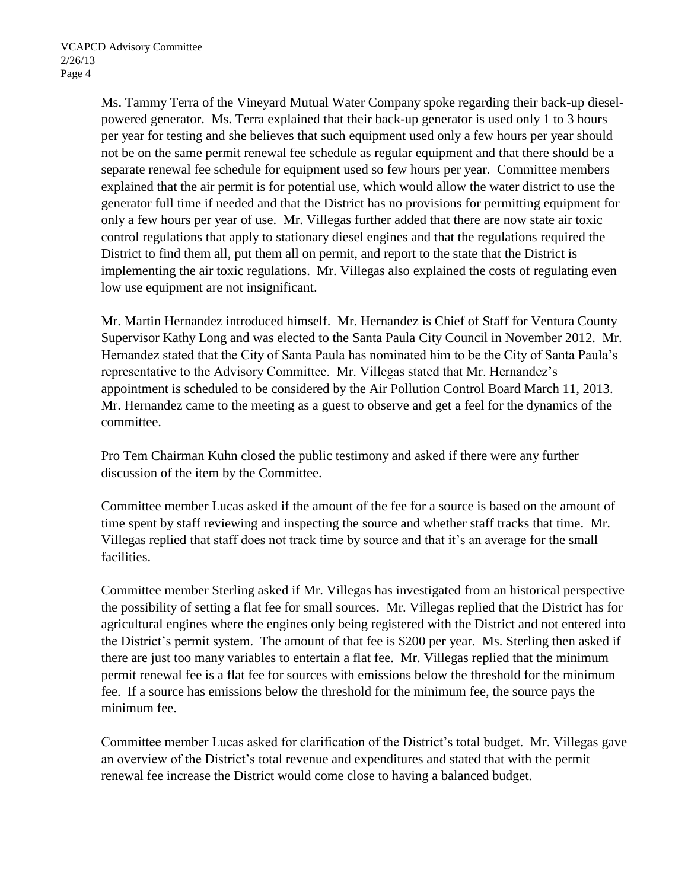Ms. Tammy Terra of the Vineyard Mutual Water Company spoke regarding their back-up dieselpowered generator. Ms. Terra explained that their back-up generator is used only 1 to 3 hours per year for testing and she believes that such equipment used only a few hours per year should not be on the same permit renewal fee schedule as regular equipment and that there should be a separate renewal fee schedule for equipment used so few hours per year. Committee members explained that the air permit is for potential use, which would allow the water district to use the generator full time if needed and that the District has no provisions for permitting equipment for only a few hours per year of use. Mr. Villegas further added that there are now state air toxic control regulations that apply to stationary diesel engines and that the regulations required the District to find them all, put them all on permit, and report to the state that the District is implementing the air toxic regulations. Mr. Villegas also explained the costs of regulating even low use equipment are not insignificant.

Mr. Martin Hernandez introduced himself. Mr. Hernandez is Chief of Staff for Ventura County Supervisor Kathy Long and was elected to the Santa Paula City Council in November 2012. Mr. Hernandez stated that the City of Santa Paula has nominated him to be the City of Santa Paula's representative to the Advisory Committee. Mr. Villegas stated that Mr. Hernandez's appointment is scheduled to be considered by the Air Pollution Control Board March 11, 2013. Mr. Hernandez came to the meeting as a guest to observe and get a feel for the dynamics of the committee.

Pro Tem Chairman Kuhn closed the public testimony and asked if there were any further discussion of the item by the Committee.

Committee member Lucas asked if the amount of the fee for a source is based on the amount of time spent by staff reviewing and inspecting the source and whether staff tracks that time. Mr. Villegas replied that staff does not track time by source and that it's an average for the small facilities.

Committee member Sterling asked if Mr. Villegas has investigated from an historical perspective the possibility of setting a flat fee for small sources. Mr. Villegas replied that the District has for agricultural engines where the engines only being registered with the District and not entered into the District's permit system. The amount of that fee is \$200 per year. Ms. Sterling then asked if there are just too many variables to entertain a flat fee. Mr. Villegas replied that the minimum permit renewal fee is a flat fee for sources with emissions below the threshold for the minimum fee. If a source has emissions below the threshold for the minimum fee, the source pays the minimum fee.

Committee member Lucas asked for clarification of the District's total budget. Mr. Villegas gave an overview of the District's total revenue and expenditures and stated that with the permit renewal fee increase the District would come close to having a balanced budget.